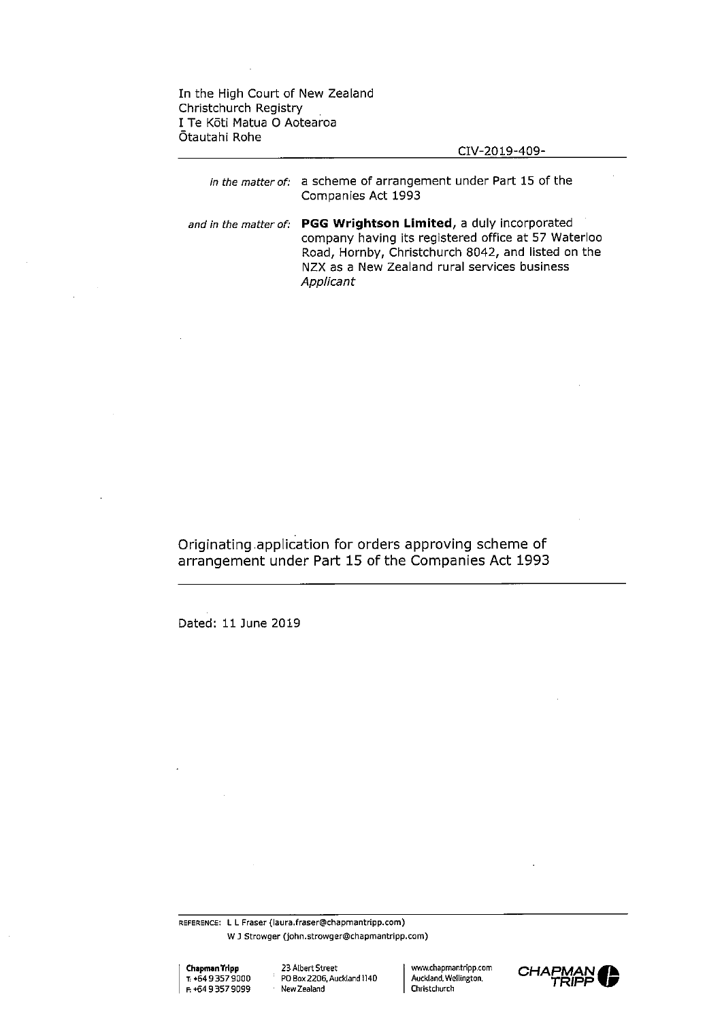In the High Court of New Zealand Christchurch Registry I Te Koti Matua <sup>O</sup> Aotearoa Otautahi Rohe

## CIV-2019-409-

*in the matter of:* a scheme of arrangement under Part 15 of the Companies Act 1993

*and in the matter of:* **PGG Wrightson Limited,** a duly incorporated company having its registered office at 57 Waterloo Road, Hornby, Christchurch 8042, and listed on the NZX as a New Zealand rural services business *Applicant*

Originating application for orders approving scheme of arrangement under Part 15 of the Companies Act 1993

Dated: 11 June 2019

reference: <sup>L</sup> <sup>L</sup> Fraser (laura.fraser@chapmantripp.com) W J Strowger (john.strowger@chapmantripp.com)

| Chapman Tripp     |
|-------------------|
| 1. +64 9 357 9000 |
| E +64 9 357 9099  |

**Chapmann 23 Albert Street** PO Box 2206, Auckland 1140 New Zealand

WAV.chapmantripp.com Auckland. Wellington, Christchurch

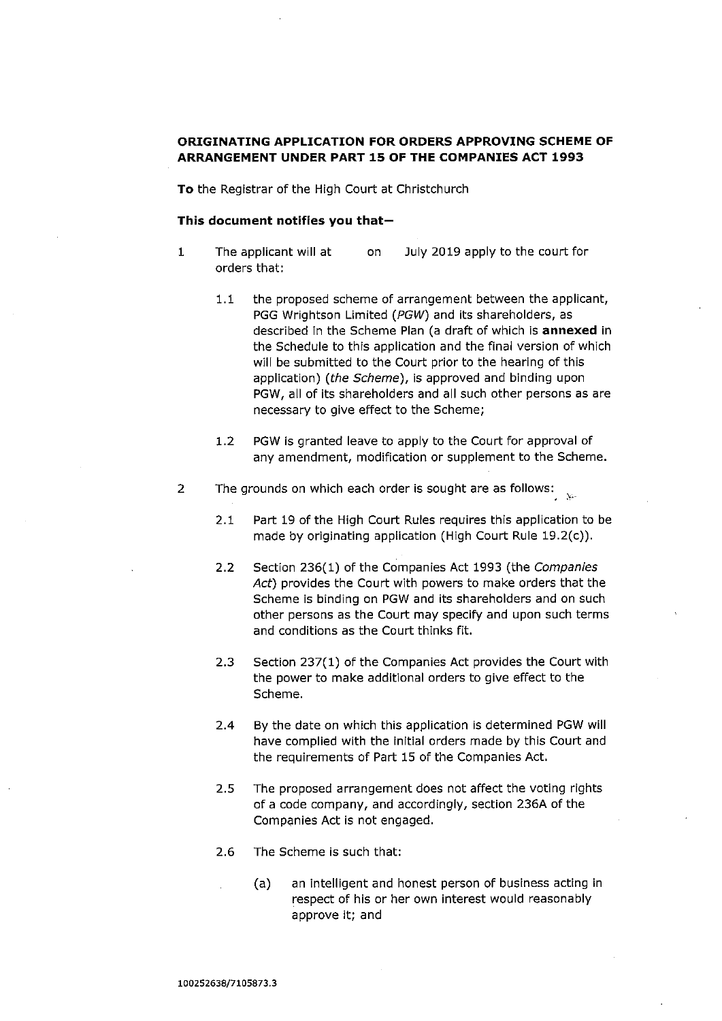# **ORIGINATING APPLICATION FOR ORDERS APPROVING SCHEME OF ARRANGEMENT UNDER PART 15 OF THE COMPANIES ACT 1993**

**To** the Registrar of the High Court at Christchurch

## **This document notifies you that—**

- <sup>1</sup> The applicant will at on July 2019 apply to the court for orders that:
	- 1.1 the proposed scheme of arrangement between the applicant, PGG Wrightson Limited *(PGW)* and its shareholders, as described In the Scheme Plan (a draft of which is **annexed** in the Schedule to this application and the final version of which will be submitted to the Court prior to the hearing of this application) *(the Scheme),* is approved and binding upon PGW, all of its shareholders and all such other persons as are necessary to give effect to the Scheme;
	- 1.2 PGW is granted leave to apply to the Court for approval of any amendment, modification or supplement to the Scheme.
- 2 The grounds on which each order is sought are as follows:
	- 2.1 Part 19 of the High Court Rules requires this application to be made by originating application (High Court Rule 19.2(c)).
	- 2.2 Section 236(1) of the Companies Act 1993 (the *Companies Act)* provides the Court with powers to make orders that the Scheme is binding on PGW and its shareholders and on such other persons as the Court may specify and upon such terms and conditions as the Court thinks fit.
	- 2.3 Section 237(1) of the Companies Act provides the Court with the power to make additional orders to give effect to the Scheme.
	- 2.4 By the date on which this application is determined PGW will have complied with the initial orders made by this Court and the requirements of Part 15 of the Companies Act.
	- 2.5 The proposed arrangement does not affect the voting rights of a code company, and accordingly, section 236A of the Companies Act is not engaged.
	- 2.6 The Scheme is such that:
		- (a) an intelligent and honest person of business acting in respect of his or her own interest would reasonably approve it; and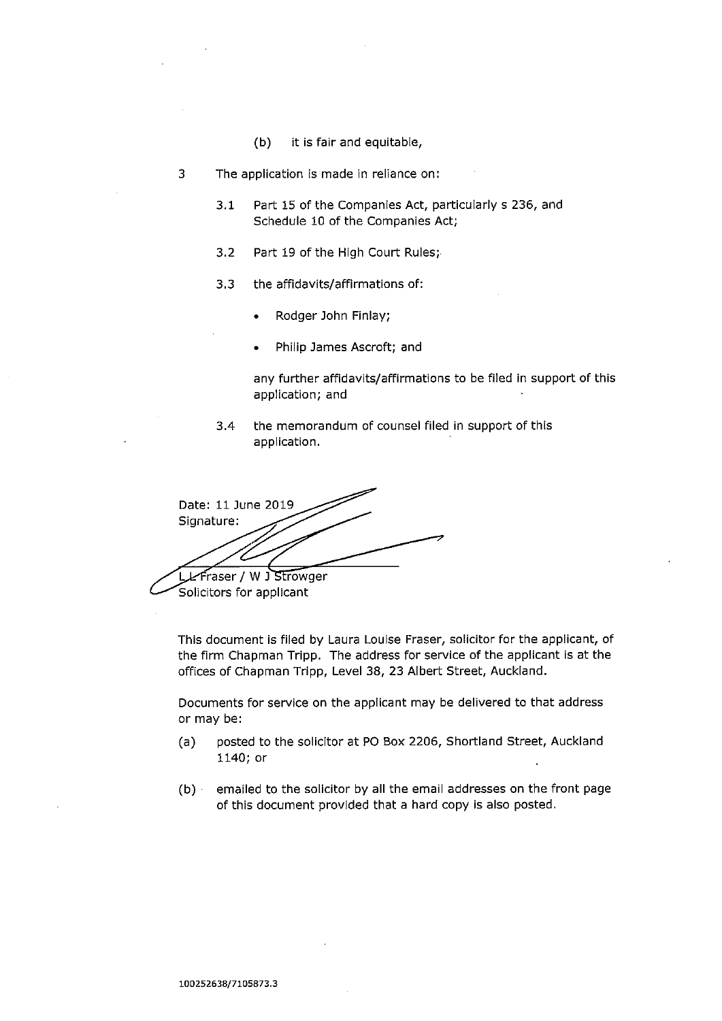(b) it is fair and equitable,

3 The application is made in reliance on:

- 3.1 Part 15 of the Companies Act, particularly s 236, and Schedule 10 of the Companies Act;
- 3.2 Part 19 of the High Court Rules;'
- 3.3 the affidavits/affirmations of:
	- Rodger John Finlay;
	- Philip James Ascroft; and

any further affidavits/affirmations to be filed in support of this application; and

3.4 the memorandum of counsel filed in support of this application.

Date: 11 June 2019 Signature: LL Fraser / W J Strowger

Solicitors for applicant

This document is filed by Laura Louise Fraser, solicitor for the applicant, of the firm Chapman Tripp. The address for service of the applicant is at the offices of Chapman Tripp, Level 38, 23 Albert Street, Auckland.

Documents for service on the applicant may be delivered to that address or may be:

- (a) posted to the solicitor at PO Box 2206, Shortland Street, Auckland 1140; or
- $(b)$  emailed to the solicitor by all the email addresses on the front page of this document provided that a hard copy is also posted.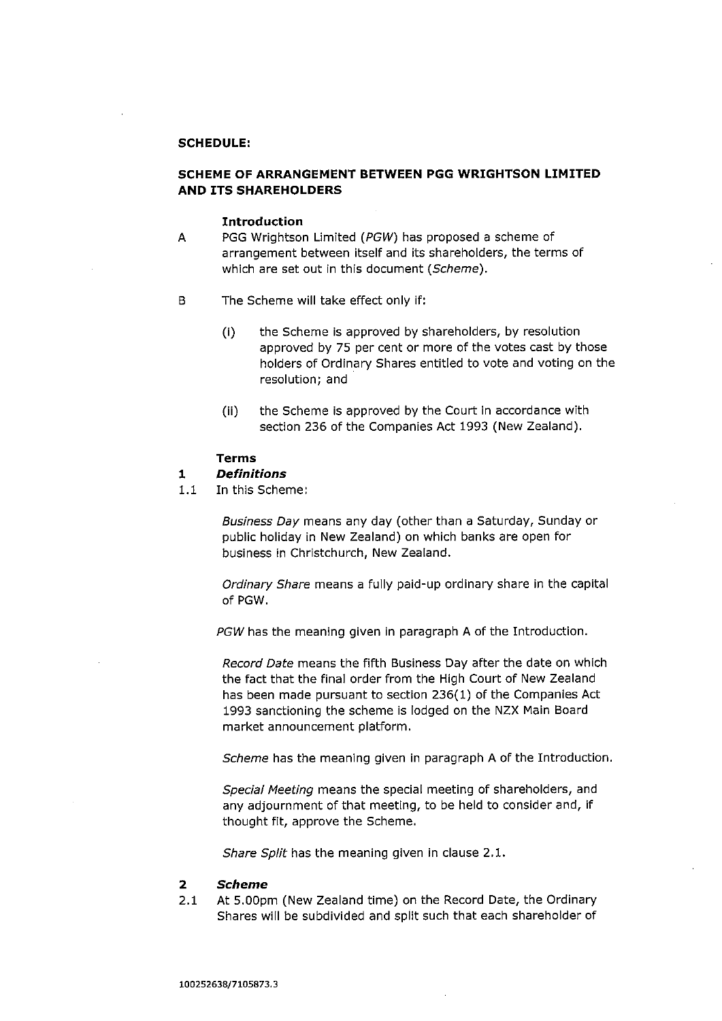## **SCHEDULE:**

## **SCHEME OF ARRANGEMENT BETWEEN PGG WRIGHTSON LIMITED AND ITS SHAREHOLDERS**

#### **Introduction**

- A PGG Wrightson Limited *(PGW)* has proposed a scheme of arrangement between itself and its shareholders, the terms of which are set out in this document *{Scheme).*
- B The Scheme will take effect only if:
	- (i) the Scheme is approved by shareholders, by resolution approved by 75 per cent or more of the votes cast by those holders of Ordinary Shares entitled to vote and voting on the resolution; and
	- (ii) the Scheme is approved by the Court in accordance with section 236 of the Companies Act 1993 (New Zealand).

## **Terms**

## **1** *Definitions*

1.1 In this Scheme:

*Business Day* means any day (other than a Saturday, Sunday or public holiday in New Zealand) on which banks are open for business in Christchurch, New Zealand.

*Ordinary Share* means a fully paid-up ordinary share in the capital of PGW.

*PGW* has the meaning given in paragraph A of the Introduction.

*Record Date* means the fifth Business Day after the date on which the fact that the final order from the High Court of New Zealand has been made pursuant to section 236(1) of the Companies Act 1993 sanctioning the scheme is lodged on the NZX Main Board market announcement platform.

*Scheme* has the meaning given in paragraph A of the Introduction.

*Special Meeting* means the special meeting of shareholders, and any adjournment of that meeting, to be held to consider and, if thought fit, approve the Scheme.

*Share Split* has the meaning given in clause 2.1.

## **2** *Scheme*

2.1 At 5.00pm (New Zealand time) on the Record Date, the Ordinary Shares will be subdivided and split such that each shareholder of